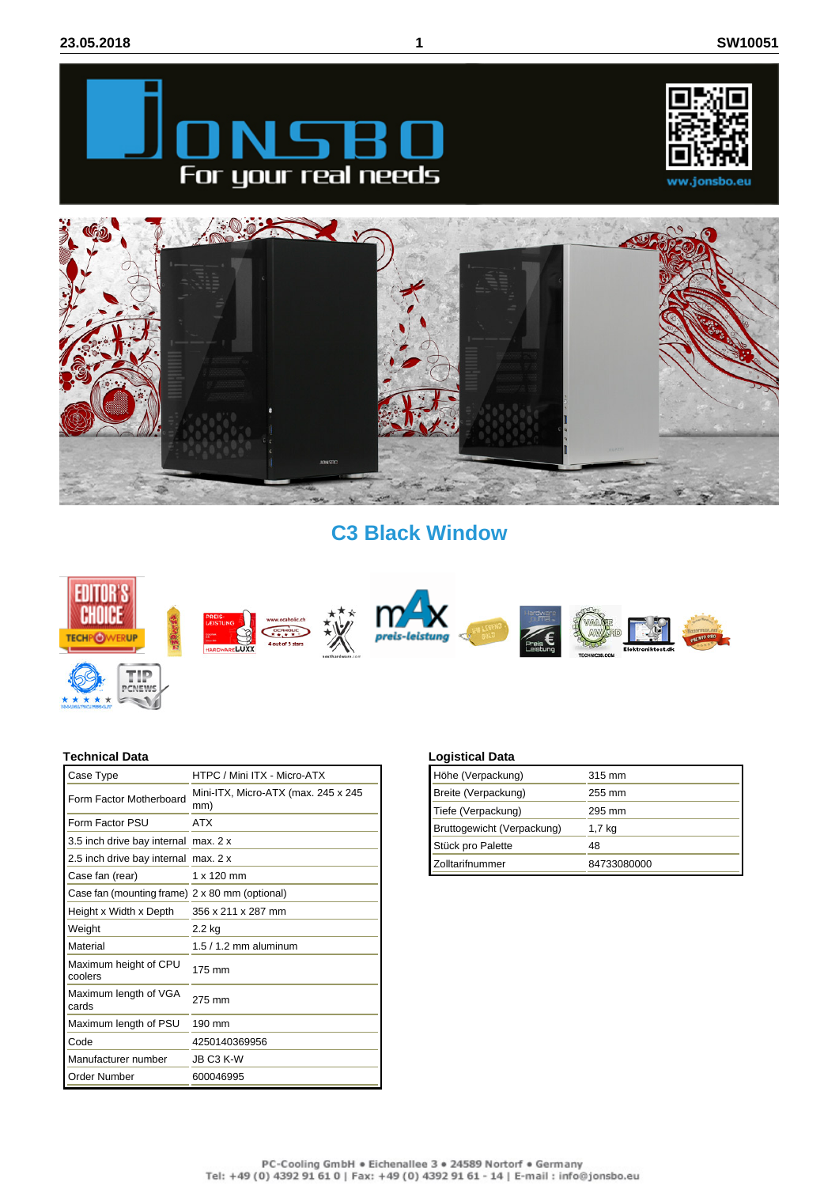





## **C3 Black Window**



## **Technical Data**

 $\rightarrow$ Ŀ \*\*\*\*

| Case Type                                      | HTPC / Mini ITX - Micro-ATX                |
|------------------------------------------------|--------------------------------------------|
| Form Factor Motherboard                        | Mini-ITX, Micro-ATX (max. 245 x 245<br>mm) |
| Form Factor PSU                                | <b>ATX</b>                                 |
| 3.5 inch drive bay internal max. 2 x           |                                            |
| 2.5 inch drive bay internal max. 2 x           |                                            |
| Case fan (rear)                                | 1 x 120 mm                                 |
| Case fan (mounting frame) 2 x 80 mm (optional) |                                            |
| Height x Width x Depth                         | 356 x 211 x 287 mm                         |
| Weight                                         | 2.2 kg                                     |
| Material                                       | $1.5/1.2$ mm aluminum                      |
| Maximum height of CPU<br>coolers               | 175 mm                                     |
| Maximum length of VGA<br>cards                 | 275 mm                                     |
| Maximum length of PSU                          | 190 mm                                     |
| Code                                           | 4250140369956                              |
| Manufacturer number                            | JB C3 K-W                                  |
| Order Number                                   | 600046995                                  |
|                                                |                                            |

## **Logistical Data**

| Höhe (Verpackung)          | 315 mm      |
|----------------------------|-------------|
| Breite (Verpackung)        | 255 mm      |
| Tiefe (Verpackung)         | 295 mm      |
| Bruttogewicht (Verpackung) | 1,7 kg      |
| Stück pro Palette          | 48          |
| Zolltarifnummer            | 84733080000 |
|                            |             |